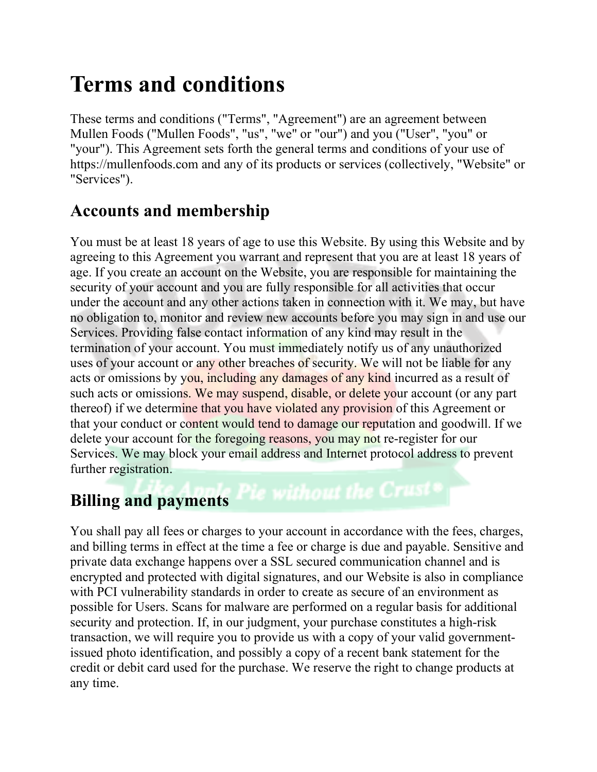# Terms and conditions

These terms and conditions ("Terms", "Agreement") are an agreement between Mullen Foods ("Mullen Foods", "us", "we" or "our") and you ("User", "you" or "your"). This Agreement sets forth the general terms and conditions of your use of https://mullenfoods.com and any of its products or services (collectively, "Website" or "Services").

## Accounts and membership

You must be at least 18 years of age to use this Website. By using this Website and by agreeing to this Agreement you warrant and represent that you are at least 18 years of age. If you create an account on the Website, you are responsible for maintaining the security of your account and you are fully responsible for all activities that occur under the account and any other actions taken in connection with it. We may, but have no obligation to, monitor and review new accounts before you may sign in and use our Services. Providing false contact information of any kind may result in the termination of your account. You must immediately notify us of any unauthorized uses of your account or any other breaches of security. We will not be liable for any acts or omissions by you, including any damages of any kind incurred as a result of such acts or omissions. We may suspend, disable, or delete your account (or any part thereof) if we determine that you have violated any provision of this Agreement or that your conduct or content would tend to damage our reputation and goodwill. If we delete your account for the foregoing reasons, you may not re-register for our Services. We may block your email address and Internet protocol address to prevent further registration.

# Billing and payments Pie without the Crust

You shall pay all fees or charges to your account in accordance with the fees, charges, and billing terms in effect at the time a fee or charge is due and payable. Sensitive and private data exchange happens over a SSL secured communication channel and is encrypted and protected with digital signatures, and our Website is also in compliance with PCI vulnerability standards in order to create as secure of an environment as possible for Users. Scans for malware are performed on a regular basis for additional security and protection. If, in our judgment, your purchase constitutes a high-risk transaction, we will require you to provide us with a copy of your valid governmentissued photo identification, and possibly a copy of a recent bank statement for the credit or debit card used for the purchase. We reserve the right to change products at any time.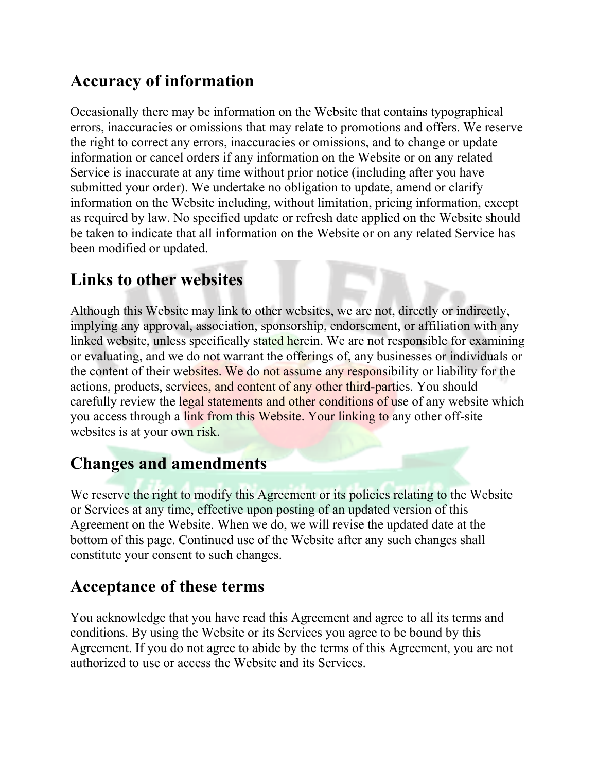### Accuracy of information

Occasionally there may be information on the Website that contains typographical errors, inaccuracies or omissions that may relate to promotions and offers. We reserve the right to correct any errors, inaccuracies or omissions, and to change or update information or cancel orders if any information on the Website or on any related Service is inaccurate at any time without prior notice (including after you have submitted your order). We undertake no obligation to update, amend or clarify information on the Website including, without limitation, pricing information, except as required by law. No specified update or refresh date applied on the Website should be taken to indicate that all information on the Website or on any related Service has been modified or updated.

#### Links to other websites

Although this Website may link to other websites, we are not, directly or indirectly, implying any approval, association, sponsorship, endorsement, or affiliation with any linked website, unless specifically stated herein. We are not responsible for examining or evaluating, and we do not warrant the offerings of, any businesses or individuals or the content of their websites. We do not assume any responsibility or liability for the actions, products, services, and content of any other third-parties. You should carefully review the legal statements and other conditions of use of any website which you access through a link from this Website. Your linking to any other off-site websites is at your own risk.

### Changes and amendments

We reserve the right to modify this Agreement or its policies relating to the Website or Services at any time, effective upon posting of an updated version of this Agreement on the Website. When we do, we will revise the updated date at the bottom of this page. Continued use of the Website after any such changes shall constitute your consent to such changes.

#### Acceptance of these terms

You acknowledge that you have read this Agreement and agree to all its terms and conditions. By using the Website or its Services you agree to be bound by this Agreement. If you do not agree to abide by the terms of this Agreement, you are not authorized to use or access the Website and its Services.